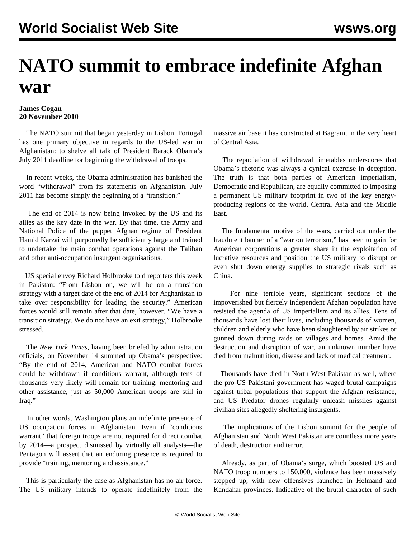## **NATO summit to embrace indefinite Afghan war**

## **James Cogan 20 November 2010**

 The NATO summit that began yesterday in Lisbon, Portugal has one primary objective in regards to the US-led war in Afghanistan: to shelve all talk of President Barack Obama's July 2011 deadline for beginning the withdrawal of troops.

 In recent weeks, the Obama administration has banished the word "withdrawal" from its statements on Afghanistan. July 2011 has become simply the beginning of a "transition."

 The end of 2014 is now being invoked by the US and its allies as the key date in the war. By that time, the Army and National Police of the puppet Afghan regime of President Hamid Karzai will purportedly be sufficiently large and trained to undertake the main combat operations against the Taliban and other anti-occupation insurgent organisations.

 US special envoy Richard Holbrooke told reporters this week in Pakistan: "From Lisbon on, we will be on a transition strategy with a target date of the end of 2014 for Afghanistan to take over responsibility for leading the security." American forces would still remain after that date, however. "We have a transition strategy. We do not have an exit strategy," Holbrooke stressed.

 The *New York Times*, having been briefed by administration officials, on November 14 summed up Obama's perspective: "By the end of 2014, American and NATO combat forces could be withdrawn if conditions warrant, although tens of thousands very likely will remain for training, mentoring and other assistance, just as 50,000 American troops are still in Iraq."

 In other words, Washington plans an indefinite presence of US occupation forces in Afghanistan. Even if "conditions warrant" that foreign troops are not required for direct combat by 2014—a prospect dismissed by virtually all analysts—the Pentagon will assert that an enduring presence is required to provide "training, mentoring and assistance."

 This is particularly the case as Afghanistan has no air force. The US military intends to operate indefinitely from the massive air base it has constructed at Bagram, in the very heart of Central Asia.

 The repudiation of withdrawal timetables underscores that Obama's rhetoric was always a cynical exercise in deception. The truth is that both parties of American imperialism, Democratic and Republican, are equally committed to imposing a permanent US military footprint in two of the key energyproducing regions of the world, Central Asia and the Middle East.

 The fundamental motive of the wars, carried out under the fraudulent banner of a "war on terrorism," has been to gain for American corporations a greater share in the exploitation of lucrative resources and position the US military to disrupt or even shut down energy supplies to strategic rivals such as China.

 For nine terrible years, significant sections of the impoverished but fiercely independent Afghan population have resisted the agenda of US imperialism and its allies. Tens of thousands have lost their lives, including thousands of women, children and elderly who have been slaughtered by air strikes or gunned down during raids on villages and homes. Amid the destruction and disruption of war, an unknown number have died from malnutrition, disease and lack of medical treatment.

 Thousands have died in North West Pakistan as well, where the pro-US Pakistani government has waged brutal campaigns against tribal populations that support the Afghan resistance, and US Predator drones regularly unleash missiles against civilian sites allegedly sheltering insurgents.

 The implications of the Lisbon summit for the people of Afghanistan and North West Pakistan are countless more years of death, destruction and terror.

 Already, as part of Obama's surge, which boosted US and NATO troop numbers to 150,000, violence has been massively stepped up, with new offensives launched in Helmand and Kandahar provinces. Indicative of the brutal character of such